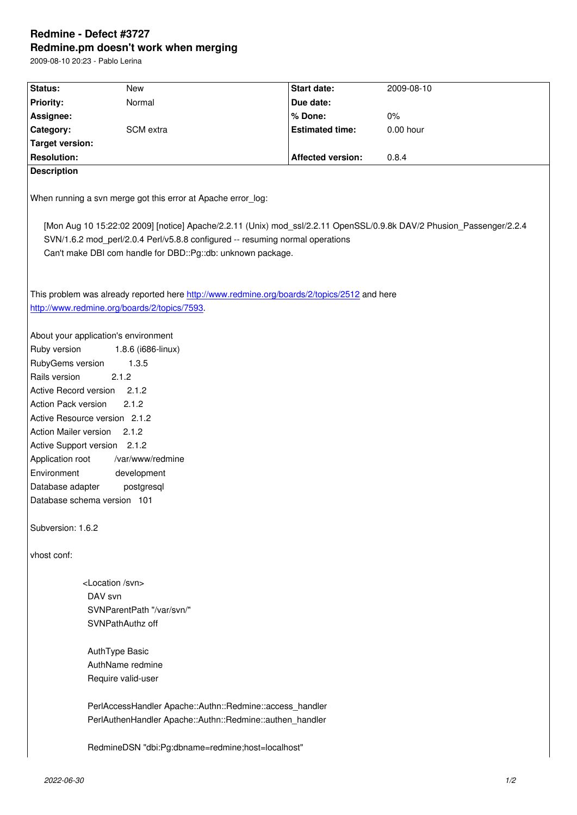#### **Redmine.pm doesn't work when merging**

2009-08-10 20:23 - Pablo Lerina

| Status:                                                                                                              | New       | Start date:              | 2009-08-10 |
|----------------------------------------------------------------------------------------------------------------------|-----------|--------------------------|------------|
| <b>Priority:</b>                                                                                                     | Normal    | Due date:                |            |
| Assignee:                                                                                                            |           | % Done:                  | 0%         |
| Category:                                                                                                            | SCM extra | <b>Estimated time:</b>   | 0.00 hour  |
| <b>Target version:</b>                                                                                               |           |                          |            |
| <b>Resolution:</b>                                                                                                   |           | <b>Affected version:</b> | 0.8.4      |
| <b>Description</b>                                                                                                   |           |                          |            |
|                                                                                                                      |           |                          |            |
| When running a svn merge got this error at Apache error log:                                                         |           |                          |            |
| [Mon Aug 10 15:22:02 2009] [notice] Apache/2.2.11 (Unix) mod_ssl/2.2.11 OpenSSL/0.9.8k DAV/2 Phusion_Passenger/2.2.4 |           |                          |            |
| SVN/1.6.2 mod_perl/2.0.4 Perl/v5.8.8 configured -- resuming normal operations                                        |           |                          |            |
| Can't make DBI com handle for DBD::Pg::db: unknown package.                                                          |           |                          |            |
|                                                                                                                      |           |                          |            |
|                                                                                                                      |           |                          |            |
| This problem was already reported here http://www.redmine.org/boards/2/topics/2512 and here                          |           |                          |            |
| http://www.redmine.org/boards/2/topics/7593.                                                                         |           |                          |            |
|                                                                                                                      |           |                          |            |
| About your application's environment                                                                                 |           |                          |            |
| Ruby version<br>1.8.6 (i686-linux)                                                                                   |           |                          |            |
| RubyGems version<br>1.3.5                                                                                            |           |                          |            |
| Rails version<br>2.1.2                                                                                               |           |                          |            |
| Active Record version<br>2.1.2                                                                                       |           |                          |            |
| Action Pack version<br>2.1.2                                                                                         |           |                          |            |
| Active Resource version 2.1.2                                                                                        |           |                          |            |
| <b>Action Mailer version</b><br>2.1.2                                                                                |           |                          |            |
| Active Support version 2.1.2                                                                                         |           |                          |            |
| Application root<br>/var/www/redmine                                                                                 |           |                          |            |
| Environment<br>development                                                                                           |           |                          |            |
| Database adapter<br>postgresql                                                                                       |           |                          |            |
| Database schema version 101                                                                                          |           |                          |            |
|                                                                                                                      |           |                          |            |
| Subversion: 1.6.2                                                                                                    |           |                          |            |
|                                                                                                                      |           |                          |            |
| vhost conf:                                                                                                          |           |                          |            |
|                                                                                                                      |           |                          |            |
| <location svn=""></location>                                                                                         |           |                          |            |
| DAV svn                                                                                                              |           |                          |            |
| SVNParentPath "/var/svn/"                                                                                            |           |                          |            |
| SVNPathAuthz off                                                                                                     |           |                          |            |
|                                                                                                                      |           |                          |            |
| AuthType Basic<br>AuthName redmine                                                                                   |           |                          |            |
|                                                                                                                      |           |                          |            |
| Require valid-user                                                                                                   |           |                          |            |
|                                                                                                                      |           |                          |            |
| PerlAccessHandler Apache::Authn::Redmine::access_handler<br>PerlAuthenHandler Apache::Authn::Redmine::authen_handler |           |                          |            |
|                                                                                                                      |           |                          |            |
| RedmineDSN "dbi:Pg:dbname=redmine;host=localhost"                                                                    |           |                          |            |
|                                                                                                                      |           |                          |            |